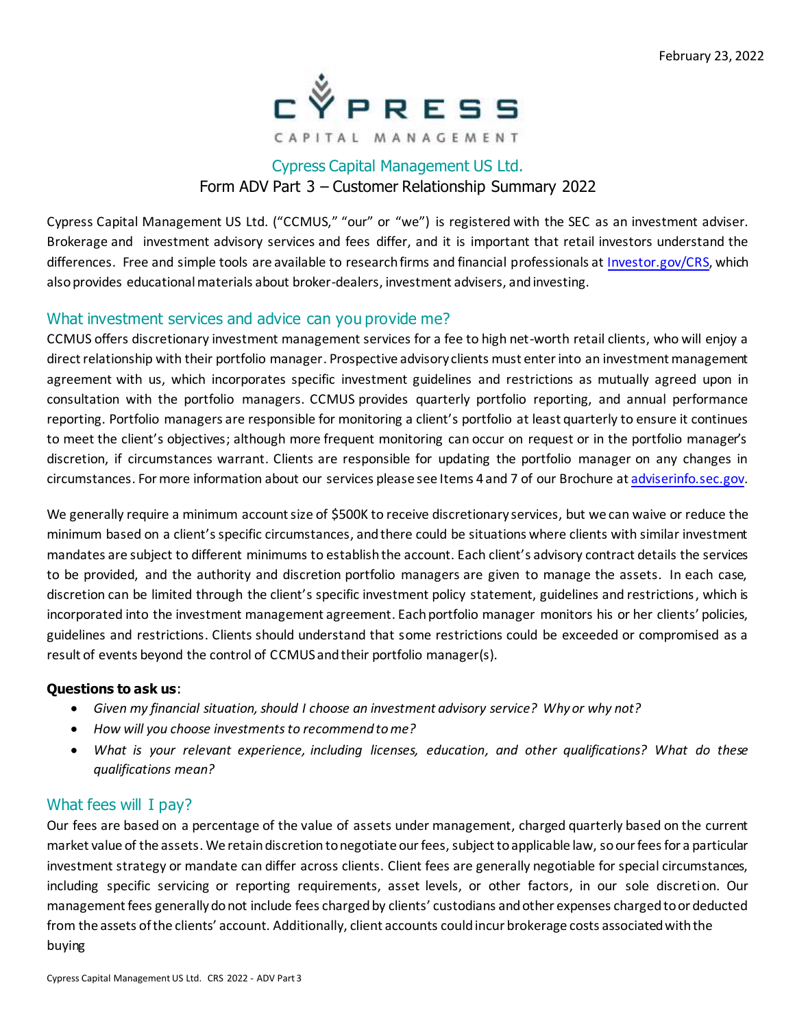

# Cypress Capital Management US Ltd. Form ADV Part 3 – Customer Relationship Summary 2022

Cypress Capital Management US Ltd. ("CCMUS," "our" or "we") is registered with the SEC as an investment adviser. Brokerage and investment advisory services and fees differ, and it is important that retail investors understand the differences. Free and simple tools are available to research firms and financial professionals at Investor.gov/CRS, which also provides educational materials about broker-dealers, investment advisers, and investing.

### What investment services and advice can you provide me?

CCMUS offers discretionary investment management services for a fee to high net-worth retail clients, who will enjoy a direct relationship with their portfolio manager. Prospective advisory clients must enter into an investment management agreement with us, which incorporates specific investment guidelines and restrictions as mutually agreed upon in consultation with the portfolio managers. CCMUS provides quarterly portfolio reporting, and annual performance reporting. Portfolio managers are responsible for monitoring a client's portfolio at least quarterly to ensure it continues to meet the client's objectives; although more frequent monitoring can occur on request or in the portfolio manager's discretion, if circumstances warrant. Clients are responsible for updating the portfolio manager on any changes in circumstances. For more information about our services please see Items 4 and 7 of our Brochure at adviserinfo.sec.gov.

We generally require a minimum account size of \$500K to receive discretionary services, but we can waive or reduce the minimum based on a client'sspecific circumstances, andthere could be situations where clients with similar investment mandates are subject to different minimums to establishthe account. Each client's advisory contract details the services to be provided, and the authority and discretion portfolio managers are given to manage the assets. In each case, discretion can be limited through the client's specific investment policy statement, guidelines and restrictions, which is incorporated into the investment management agreement. Each portfolio manager monitors his or her clients' policies, guidelines and restrictions. Clients should understand that some restrictions could be exceeded or compromised as a result of events beyond the control of CCMUS and their portfolio manager(s).

### **Questions to ask us**:

- *Given my financial situation, should I choose an investment advisory service? Why or why not?*
- *How will you choose investments to recommend to me?*
- *What is your relevant experience, including licenses, education, and other qualifications? What do these qualifications mean?*

### What fees will I pay?

Our fees are based on a percentage of the value of assets under management, charged quarterly based on the current market value of the assets. We retain discretion to negotiate our fees, subject to applicable law, so our fees for a particular investment strategy or mandate can differ across clients. Client fees are generally negotiable for special circumstances, including specific servicing or reporting requirements, asset levels, or other factors, in our sole discretion. Our management fees generally donot include fees charged by clients' custodians and other expenses charged to or deducted from the assets of the clients' account. Additionally, client accounts could incur brokerage costs associated with the buying